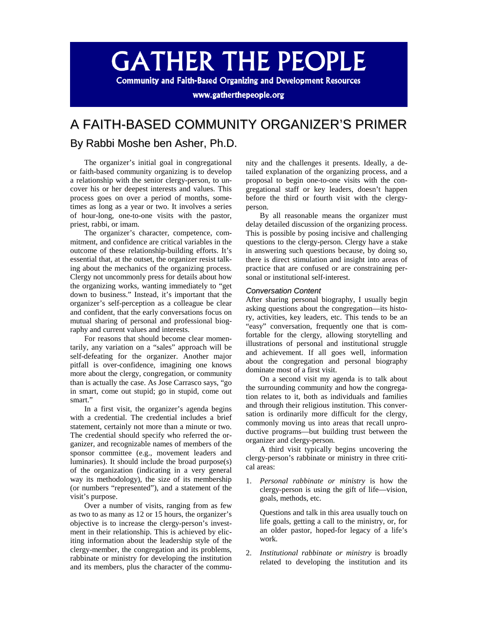# **GATHER THE PEOPLE**

**Community and Faith-Based Organizing and Development Resources** 

www.gatherthepeople.org

## A FAITH-BASED COMMUNITY ORGANIZER'S PRIMER

### By Rabbi Moshe ben Asher, Ph.D.

The organizer's initial goal in congregational or faith-based community organizing is to develop a relationship with the senior clergy-person, to uncover his or her deepest interests and values. This process goes on over a period of months, sometimes as long as a year or two. It involves a series of hour-long, one-to-one visits with the pastor, priest, rabbi, or imam.

The organizer's character, competence, commitment, and confidence are critical variables in the outcome of these relationship-building efforts. It's essential that, at the outset, the organizer resist talking about the mechanics of the organizing process. Clergy not uncommonly press for details about how the organizing works, wanting immediately to "get down to business." Instead, it's important that the organizer's self-perception as a colleague be clear and confident, that the early conversations focus on mutual sharing of personal and professional biography and current values and interests.

For reasons that should become clear momentarily, any variation on a "sales" approach will be self-defeating for the organizer. Another major pitfall is over-confidence, imagining one knows more about the clergy, congregation, or community than is actually the case. As Jose Carrasco says, "go in smart, come out stupid; go in stupid, come out smart."

In a first visit, the organizer's agenda begins with a credential. The credential includes a brief statement, certainly not more than a minute or two. The credential should specify who referred the organizer, and recognizable names of members of the sponsor committee (e.g., movement leaders and luminaries). It should include the broad purpose(s) of the organization (indicating in a very general way its methodology), the size of its membership (or numbers "represented"), and a statement of the visit's purpose.

Over a number of visits, ranging from as few as two to as many as 12 or 15 hours, the organizer's objective is to increase the clergy-person's investment in their relationship. This is achieved by eliciting information about the leadership style of the clergy-member, the congregation and its problems, rabbinate or ministry for developing the institution and its members, plus the character of the community and the challenges it presents. Ideally, a detailed explanation of the organizing process, and a proposal to begin one-to-one visits with the congregational staff or key leaders, doesn't happen before the third or fourth visit with the clergyperson.

By all reasonable means the organizer must delay detailed discussion of the organizing process. This is possible by posing incisive and challenging questions to the clergy-person. Clergy have a stake in answering such questions because, by doing so, there is direct stimulation and insight into areas of practice that are confused or are constraining personal or institutional self-interest.

#### *Conversation Content*

After sharing personal biography, I usually begin asking questions about the congregation—its history, activities, key leaders, etc. This tends to be an "easy" conversation, frequently one that is comfortable for the clergy, allowing storytelling and illustrations of personal and institutional struggle and achievement. If all goes well, information about the congregation and personal biography dominate most of a first visit.

On a second visit my agenda is to talk about the surrounding community and how the congregation relates to it, both as individuals and families and through their religious institution. This conversation is ordinarily more difficult for the clergy, commonly moving us into areas that recall unproductive programs—but building trust between the organizer and clergy-person.

A third visit typically begins uncovering the clergy-person's rabbinate or ministry in three critical areas:

1. *Personal rabbinate or ministry* is how the clergy-person is using the gift of life—vision, goals, methods, etc.

Questions and talk in this area usually touch on life goals, getting a call to the ministry, or, for an older pastor, hoped-for legacy of a life's work.

2. *Institutional rabbinate or ministry* is broadly related to developing the institution and its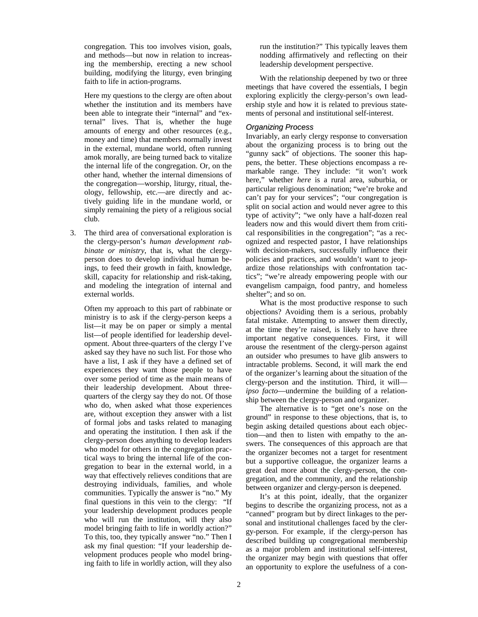congregation. This too involves vision, goals, and methods—but now in relation to increasing the membership, erecting a new school building, modifying the liturgy, even bringing faith to life in action-programs.

Here my questions to the clergy are often about whether the institution and its members have been able to integrate their "internal" and "external" lives. That is, whether the huge amounts of energy and other resources (e.g., money and time) that members normally invest in the external, mundane world, often running amok morally, are being turned back to vitalize the internal life of the congregation. Or, on the other hand, whether the internal dimensions of the congregation—worship, liturgy, ritual, theology, fellowship, etc.—are directly and actively guiding life in the mundane world, or simply remaining the piety of a religious social club.

3. The third area of conversational exploration is the clergy-person's *human development rabbinate or ministry*, that is, what the clergyperson does to develop individual human beings, to feed their growth in faith, knowledge, skill, capacity for relationship and risk-taking, and modeling the integration of internal and external worlds.

Often my approach to this part of rabbinate or ministry is to ask if the clergy-person keeps a list—it may be on paper or simply a mental list—of people identified for leadership development. About three-quarters of the clergy I've asked say they have no such list. For those who have a list, I ask if they have a defined set of experiences they want those people to have over some period of time as the main means of their leadership development. About threequarters of the clergy say they do not. Of those who do, when asked what those experiences are, without exception they answer with a list of formal jobs and tasks related to managing and operating the institution. I then ask if the clergy-person does anything to develop leaders who model for others in the congregation practical ways to bring the internal life of the congregation to bear in the external world, in a way that effectively relieves conditions that are destroying individuals, families, and whole communities. Typically the answer is "no." My final questions in this vein to the clergy: "If your leadership development produces people who will run the institution, will they also model bringing faith to life in worldly action?" To this, too, they typically answer "no." Then I ask my final question: "If your leadership development produces people who model bringing faith to life in worldly action, will they also

run the institution?" This typically leaves them nodding affirmatively and reflecting on their leadership development perspective.

With the relationship deepened by two or three meetings that have covered the essentials, I begin exploring explicitly the clergy-person's own leadership style and how it is related to previous statements of personal and institutional self-interest.

#### *Organizing Process*

Invariably, an early clergy response to conversation about the organizing process is to bring out the "gunny sack" of objections. The sooner this happens, the better. These objections encompass a remarkable range. They include: "it won't work here," whether *here* is a rural area, suburbia, or particular religious denomination; "we're broke and can't pay for your services"; "our congregation is split on social action and would never agree to this type of activity"; "we only have a half-dozen real leaders now and this would divert them from critical responsibilities in the congregation"; "as a recognized and respected pastor, I have relationships with decision-makers, successfully influence their policies and practices, and wouldn't want to jeopardize those relationships with confrontation tactics"; "we're already empowering people with our evangelism campaign, food pantry, and homeless shelter"; and so on.

What is the most productive response to such objections? Avoiding them is a serious, probably fatal mistake. Attempting to answer them directly, at the time they're raised, is likely to have three important negative consequences. First, it will arouse the resentment of the clergy-person against an outsider who presumes to have glib answers to intractable problems. Second, it will mark the end of the organizer's learning about the situation of the clergy-person and the institution. Third, it will *ipso facto*—undermine the building of a relationship between the clergy-person and organizer.

The alternative is to "get one's nose on the ground" in response to these objections, that is, to begin asking detailed questions about each objection—and then to listen with empathy to the answers. The consequences of this approach are that the organizer becomes not a target for resentment but a supportive colleague, the organizer learns a great deal more about the clergy-person, the congregation, and the community, and the relationship between organizer and clergy-person is deepened.

It's at this point, ideally, that the organizer begins to describe the organizing process, not as a "canned" program but by direct linkages to the personal and institutional challenges faced by the clergy-person. For example, if the clergy-person has described building up congregational membership as a major problem and institutional self-interest, the organizer may begin with questions that offer an opportunity to explore the usefulness of a con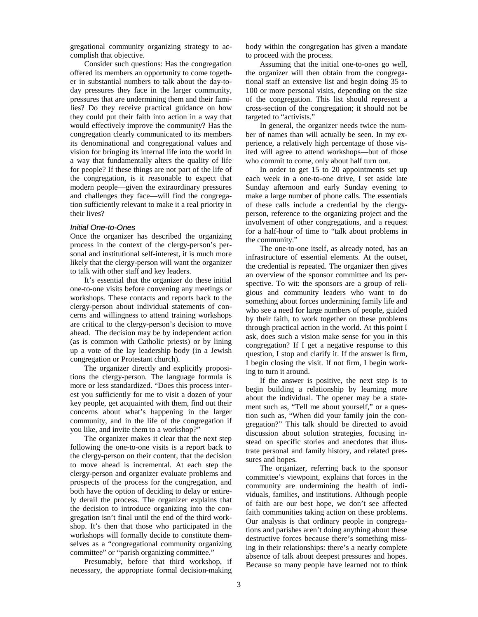gregational community organizing strategy to accomplish that objective.

Consider such questions: Has the congregation offered its members an opportunity to come together in substantial numbers to talk about the day-today pressures they face in the larger community, pressures that are undermining them and their families? Do they receive practical guidance on how they could put their faith into action in a way that would effectively improve the community? Has the congregation clearly communicated to its members its denominational and congregational values and vision for bringing its internal life into the world in a way that fundamentally alters the quality of life for people? If these things are not part of the life of the congregation, is it reasonable to expect that modern people—given the extraordinary pressures and challenges they face—will find the congregation sufficiently relevant to make it a real priority in their lives?

#### *Initial One-to-Ones*

Once the organizer has described the organizing process in the context of the clergy-person's personal and institutional self-interest, it is much more likely that the clergy-person will want the organizer to talk with other staff and key leaders.

It's essential that the organizer do these initial one-to-one visits before convening any meetings or workshops. These contacts and reports back to the clergy-person about individual statements of concerns and willingness to attend training workshops are critical to the clergy-person's decision to move ahead. The decision may be by independent action (as is common with Catholic priests) or by lining up a vote of the lay leadership body (in a Jewish congregation or Protestant church).

The organizer directly and explicitly propositions the clergy-person. The language formula is more or less standardized. "Does this process interest you sufficiently for me to visit a dozen of your key people, get acquainted with them, find out their concerns about what's happening in the larger community, and in the life of the congregation if you like, and invite them to a workshop?"

The organizer makes it clear that the next step following the one-to-one visits is a report back to the clergy-person on their content, that the decision to move ahead is incremental. At each step the clergy-person and organizer evaluate problems and prospects of the process for the congregation, and both have the option of deciding to delay or entirely derail the process. The organizer explains that the decision to introduce organizing into the congregation isn't final until the end of the third workshop. It's then that those who participated in the workshops will formally decide to constitute themselves as a "congregational community organizing committee" or "parish organizing committee."

Presumably, before that third workshop, if necessary, the appropriate formal decision-making body within the congregation has given a mandate to proceed with the process.

Assuming that the initial one-to-ones go well, the organizer will then obtain from the congregational staff an extensive list and begin doing 35 to 100 or more personal visits, depending on the size of the congregation. This list should represent a cross-section of the congregation; it should not be targeted to "activists."

In general, the organizer needs twice the number of names than will actually be seen. In my experience, a relatively high percentage of those visited will agree to attend workshops—but of those who commit to come, only about half turn out.

In order to get 15 to 20 appointments set up each week in a one-to-one drive, I set aside late Sunday afternoon and early Sunday evening to make a large number of phone calls. The essentials of these calls include a credential by the clergyperson, reference to the organizing project and the involvement of other congregations, and a request for a half-hour of time to "talk about problems in the community."

The one-to-one itself, as already noted, has an infrastructure of essential elements. At the outset, the credential is repeated. The organizer then gives an overview of the sponsor committee and its perspective. To wit: the sponsors are a group of religious and community leaders who want to do something about forces undermining family life and who see a need for large numbers of people, guided by their faith, to work together on these problems through practical action in the world. At this point I ask, does such a vision make sense for you in this congregation? If I get a negative response to this question, I stop and clarify it. If the answer is firm, I begin closing the visit. If not firm, I begin working to turn it around.

If the answer is positive, the next step is to begin building a relationship by learning more about the individual. The opener may be a statement such as, "Tell me about yourself," or a question such as, "When did your family join the congregation?" This talk should be directed to avoid discussion about solution strategies, focusing instead on specific stories and anecdotes that illustrate personal and family history, and related pressures and hopes.

The organizer, referring back to the sponsor committee's viewpoint, explains that forces in the community are undermining the health of individuals, families, and institutions. Although people of faith are our best hope, we don't see affected faith communities taking action on these problems. Our analysis is that ordinary people in congregations and parishes aren't doing anything about these destructive forces because there's something missing in their relationships: there's a nearly complete absence of talk about deepest pressures and hopes. Because so many people have learned not to think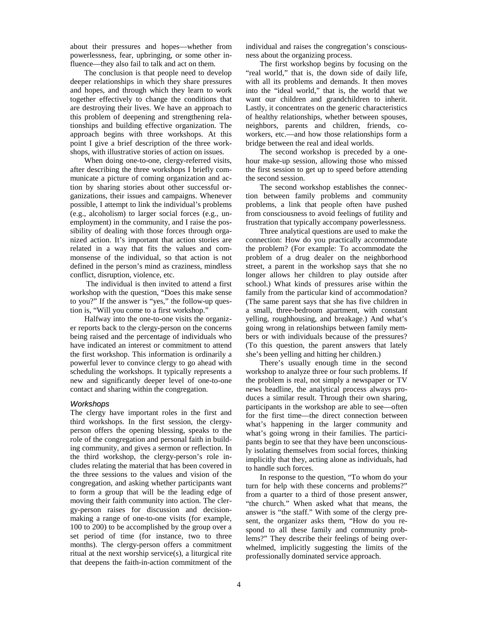about their pressures and hopes—whether from powerlessness, fear, upbringing, or some other influence—they also fail to talk and act on them.

The conclusion is that people need to develop deeper relationships in which they share pressures and hopes, and through which they learn to work together effectively to change the conditions that are destroying their lives. We have an approach to this problem of deepening and strengthening relationships and building effective organization. The approach begins with three workshops. At this point I give a brief description of the three workshops, with illustrative stories of action on issues.

When doing one-to-one, clergy-referred visits, after describing the three workshops I briefly communicate a picture of coming organization and action by sharing stories about other successful organizations, their issues and campaigns. Whenever possible, I attempt to link the individual's problems (e.g., alcoholism) to larger social forces (e.g., unemployment) in the community, and I raise the possibility of dealing with those forces through organized action. It's important that action stories are related in a way that fits the values and commonsense of the individual, so that action is not defined in the person's mind as craziness, mindless conflict, disruption, violence, etc.

The individual is then invited to attend a first workshop with the question, "Does this make sense to you?" If the answer is "yes," the follow-up question is, "Will you come to a first workshop."

Halfway into the one-to-one visits the organizer reports back to the clergy-person on the concerns being raised and the percentage of individuals who have indicated an interest or commitment to attend the first workshop. This information is ordinarily a powerful lever to convince clergy to go ahead with scheduling the workshops. It typically represents a new and significantly deeper level of one-to-one contact and sharing within the congregation.

#### *Workshops*

The clergy have important roles in the first and third workshops. In the first session, the clergyperson offers the opening blessing, speaks to the role of the congregation and personal faith in building community, and gives a sermon or reflection. In the third workshop, the clergy-person's role includes relating the material that has been covered in the three sessions to the values and vision of the congregation, and asking whether participants want to form a group that will be the leading edge of moving their faith community into action. The clergy-person raises for discussion and decisionmaking a range of one-to-one visits (for example, 100 to 200) to be accomplished by the group over a set period of time (for instance, two to three months). The clergy-person offers a commitment ritual at the next worship service(s), a liturgical rite that deepens the faith-in-action commitment of the

individual and raises the congregation's consciousness about the organizing process.

The first workshop begins by focusing on the "real world," that is, the down side of daily life, with all its problems and demands. It then moves into the "ideal world," that is, the world that we want our children and grandchildren to inherit. Lastly, it concentrates on the generic characteristics of healthy relationships, whether between spouses, neighbors, parents and children, friends, coworkers, etc.—and how those relationships form a bridge between the real and ideal worlds.

The second workshop is preceded by a onehour make-up session, allowing those who missed the first session to get up to speed before attending the second session.

The second workshop establishes the connection between family problems and community problems, a link that people often have pushed from consciousness to avoid feelings of futility and frustration that typically accompany powerlessness.

Three analytical questions are used to make the connection: How do you practically accommodate the problem? (For example: To accommodate the problem of a drug dealer on the neighborhood street, a parent in the workshop says that she no longer allows her children to play outside after school.) What kinds of pressures arise within the family from the particular kind of accommodation? (The same parent says that she has five children in a small, three-bedroom apartment, with constant yelling, roughhousing, and breakage.) And what's going wrong in relationships between family members or with individuals because of the pressures? (To this question, the parent answers that lately she's been yelling and hitting her children.)

There's usually enough time in the second workshop to analyze three or four such problems. If the problem is real, not simply a newspaper or TV news headline, the analytical process always produces a similar result. Through their own sharing, participants in the workshop are able to see—often for the first time—the direct connection between what's happening in the larger community and what's going wrong in their families. The participants begin to see that they have been unconsciously isolating themselves from social forces, thinking implicitly that they, acting alone as individuals, had to handle such forces.

In response to the question, "To whom do your turn for help with these concerns and problems?" from a quarter to a third of those present answer, "the church." When asked what that means, the answer is "the staff." With some of the clergy present, the organizer asks them, "How do you respond to all these family and community problems?" They describe their feelings of being overwhelmed, implicitly suggesting the limits of the professionally dominated service approach.